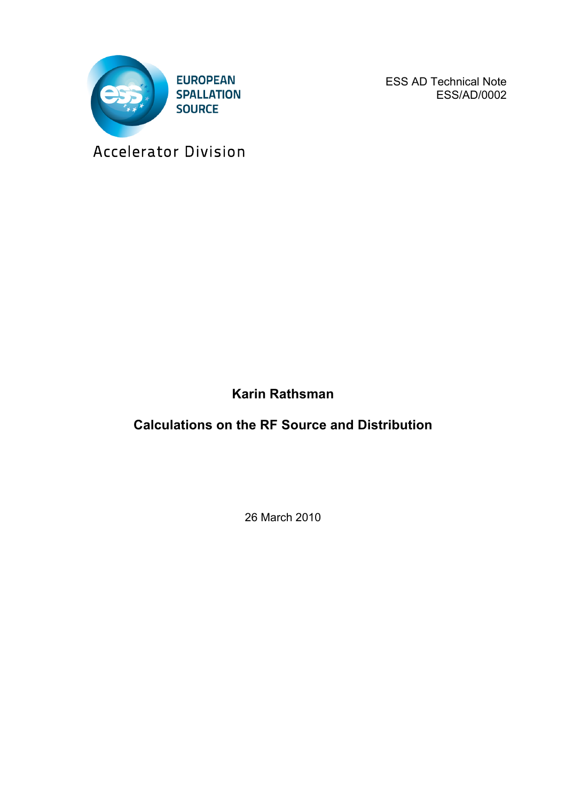

ESS AD Technical Note ESS/AD/0002

Accelerator Division

**Karin Rathsman**

**Calculations on the RF Source and Distribution**

26 March 2010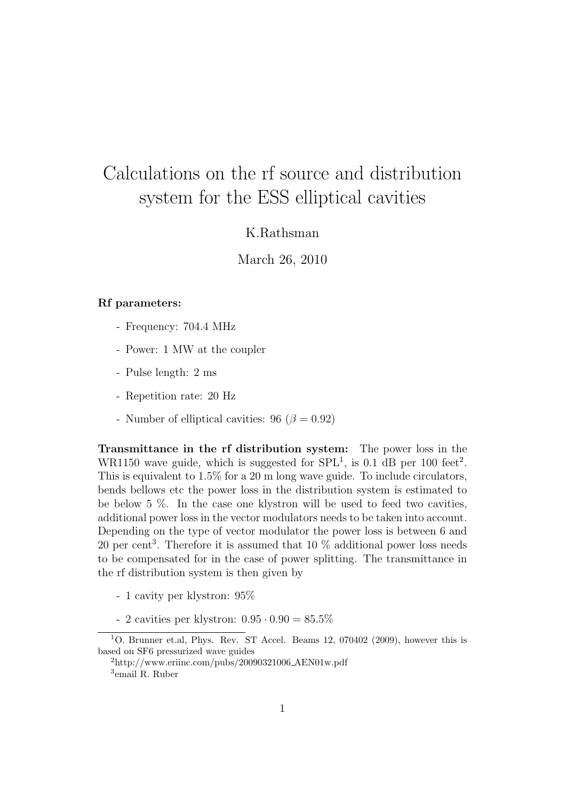## Calculations on the rf source and distribution system for the ESS elliptical cavities

## K.Rathsman

March 26, 2010

## Rf parameters:

- Frequency: 704.4 MHz
- Power: 1 MW at the coupler
- Pulse length: 2 ms
- Repetition rate: 20 Hz
- Number of elliptical cavities:  $96 (\beta = 0.92)$

Transmittance in the rf distribution system: The power loss in the WR1150 wave guide, which is suggested for  $SPL<sup>1</sup>$ , is 0.1 dB per 100 feet<sup>2</sup>. This is equivalent to 1.5% for a 20 m long wave guide. To include circulators, bends bellows etc the power loss in the distribution system is estimated to be below 5 %. In the case one klystron will be used to feed two cavities, additional power loss in the vector modulators needs to be taken into account. Depending on the type of vector modulator the power loss is between 6 and 20 per cent<sup>3</sup>. Therefore it is assumed that 10  $\%$  additional power loss needs to be compensated for in the case of power splitting. The transmittance in the rf distribution system is then given by

- 1 cavity per klystron: 95%
- 2 cavities per klystron: 0.95 *·* 0.90 = 85.5%

<sup>1</sup>O. Brunner et.al, Phys. Rev. ST Accel. Beams 12, 070402 (2009), however this is based on SF6 pressurized wave guides

 $^{2}$ http://www.eriinc.com/pubs/20090321006\_AEN01w.pdf

<sup>3</sup>email R. Ruber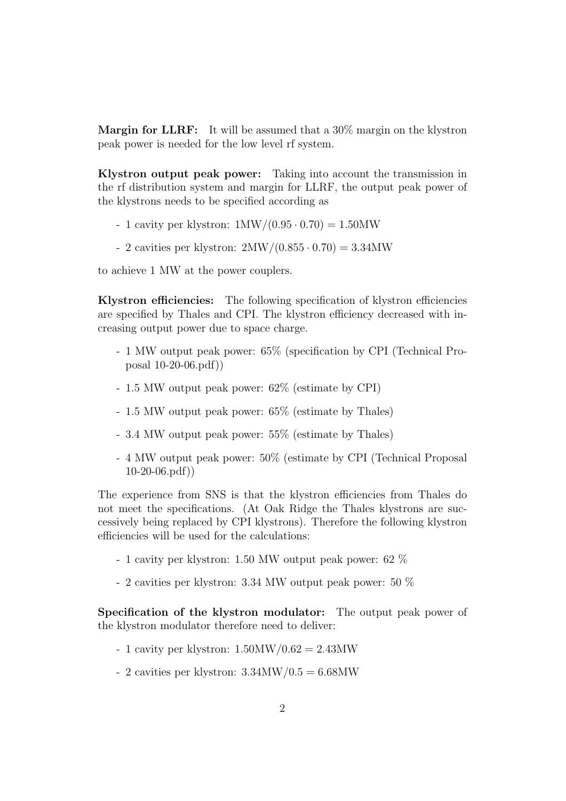Margin for LLRF: It will be assumed that a 30% margin on the klystron peak power is needed for the low level rf system.

Klystron output peak power: Taking into account the transmission in the rf distribution system and margin for LLRF, the output peak power of the klystrons needs to be specified according as

- 1 cavity per klystron: 1MW/(0.95 *·* 0.70) = 1.50MW
- 2 cavities per klystron: 2MW/(0.855 *·* 0.70) = 3.34MW

to achieve 1 MW at the power couplers.

Klystron efficiencies: The following specification of klystron efficiencies are specified by Thales and CPI. The klystron efficiency decreased with increasing output power due to space charge.

- 1 MW output peak power: 65% (specification by CPI (Technical Proposal 10-20-06.pdf))
- 1.5 MW output peak power: 62% (estimate by CPI)
- 1.5 MW output peak power: 65% (estimate by Thales)
- 3.4 MW output peak power: 55% (estimate by Thales)
- 4 MW output peak power: 50% (estimate by CPI (Technical Proposal 10-20-06.pdf))

The experience from SNS is that the klystron efficiencies from Thales do not meet the specifications. (At Oak Ridge the Thales klystrons are successively being replaced by CPI klystrons). Therefore the following klystron efficiencies will be used for the calculations:

- 1 cavity per klystron: 1.50 MW output peak power: 62 %
- 2 cavities per klystron: 3.34 MW output peak power: 50 %

Specification of the klystron modulator: The output peak power of the klystron modulator therefore need to deliver:

- 1 cavity per klystron:  $1.50MW/0.62 = 2.43MW$
- 2 cavities per klystron:  $3.34\text{MW}/0.5=6.68\text{MW}$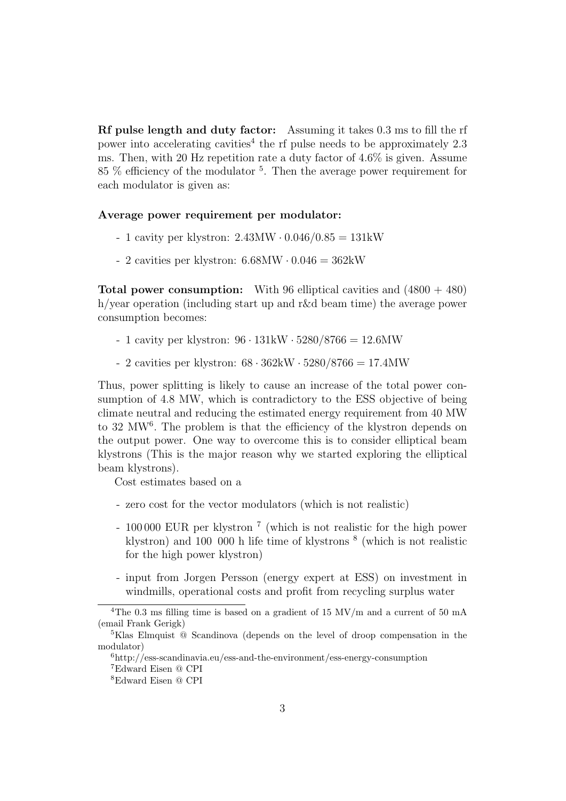Rf pulse length and duty factor: Assuming it takes 0.3 ms to fill the rf power into accelerating cavities<sup>4</sup> the rf pulse needs to be approximately  $2.3$ ms. Then, with 20 Hz repetition rate a duty factor of 4.6% is given. Assume  $85\%$  efficiency of the modulator <sup>5</sup>. Then the average power requirement for each modulator is given as:

## Average power requirement per modulator:

- 1 cavity per klystron: 2.43MW *·* 0.046/0.85 = 131kW
- 2 cavities per klystron: 6.68MW *·* 0.046 = 362kW

**Total power consumption:** With 96 elliptical cavities and  $(4800 + 480)$ h/year operation (including start up and r&d beam time) the average power consumption becomes:

- 1 cavity per klystron: 96 *·* 131kW *·* 5280/8766 = 12.6MW
- 2 cavities per klystron: 68 *·* 362kW *·* 5280/8766 = 17.4MW

Thus, power splitting is likely to cause an increase of the total power consumption of 4.8 MW, which is contradictory to the ESS objective of being climate neutral and reducing the estimated energy requirement from 40 MW to 32 MW<sup>6</sup>. The problem is that the efficiency of the klystron depends on the output power. One way to overcome this is to consider elliptical beam klystrons (This is the major reason why we started exploring the elliptical beam klystrons).

Cost estimates based on a

- zero cost for the vector modulators (which is not realistic)
- 100 000 EUR per klystron <sup>7</sup> (which is not realistic for the high power klystron) and 100 000 h life time of klystrons <sup>8</sup> (which is not realistic for the high power klystron)
- input from Jorgen Persson (energy expert at ESS) on investment in windmills, operational costs and profit from recycling surplus water

<sup>&</sup>lt;sup>4</sup>The 0.3 ms filling time is based on a gradient of 15 MV/m and a current of 50 mA (email Frank Gerigk)

<sup>5</sup>Klas Elmquist @ Scandinova (depends on the level of droop compensation in the modulator)

<sup>6</sup>http://ess-scandinavia.eu/ess-and-the-environment/ess-energy-consumption

<sup>7</sup>Edward Eisen @ CPI

<sup>8</sup>Edward Eisen @ CPI